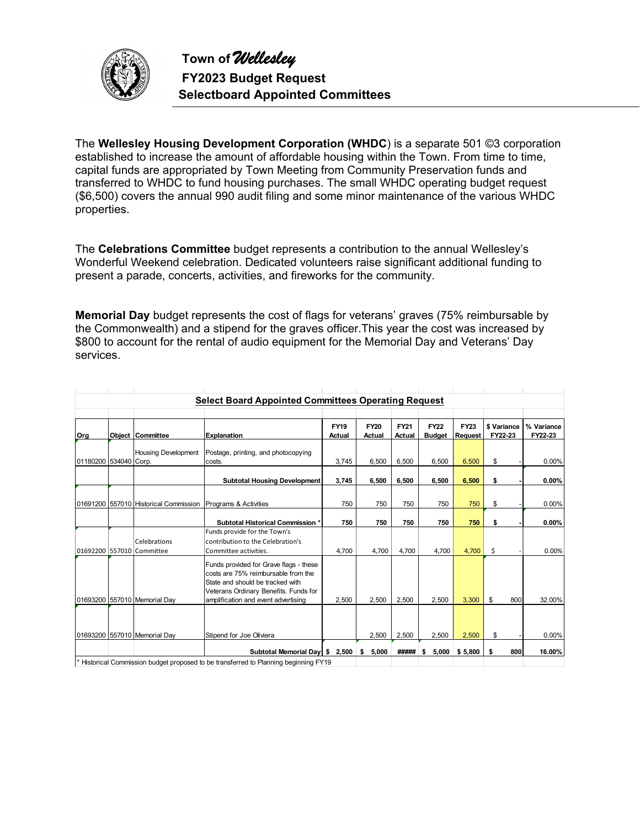

The **Wellesley Housing Development Corporation (WHDC**) is a separate 501 ©3 corporation established to increase the amount of affordable housing within the Town. From time to time, capital funds are appropriated by Town Meeting from Community Preservation funds and transferred to WHDC to fund housing purchases. The small WHDC operating budget request (\$6,500) covers the annual 990 audit filing and some minor maintenance of the various WHDC properties.

The **Celebrations Committee** budget represents a contribution to the annual Wellesley's Wonderful Weekend celebration. Dedicated volunteers raise significant additional funding to present a parade, concerts, activities, and fireworks for the community.

**Memorial Day** budget represents the cost of flags for veterans' graves (75% reimbursable by the Commonwealth) and a stipend for the graves officer.This year the cost was increased by \$800 to account for the rental of audio equipment for the Memorial Day and Veterans' Day services.

|                       |                                                             | <b>Select Board Appointed Committees Operating Request</b>                                                                                                                                        |                       |                       |                              |                              |                        |                        |                       |
|-----------------------|-------------------------------------------------------------|---------------------------------------------------------------------------------------------------------------------------------------------------------------------------------------------------|-----------------------|-----------------------|------------------------------|------------------------------|------------------------|------------------------|-----------------------|
| Org                   | Object Committee                                            | <b>Explanation</b>                                                                                                                                                                                | <b>FY19</b><br>Actual | <b>FY20</b><br>Actual | <b>FY21</b><br><b>Actual</b> | <b>FY22</b><br><b>Budget</b> | <b>FY23</b><br>Request | \$ Variance<br>FY22-23 | % Variance<br>FY22-23 |
| 01180200 534040 Corp. | <b>Housing Development</b>                                  | Postage, printing, and photocopying<br>costs.                                                                                                                                                     | 3,745                 | 6.500                 | 6.500                        | 6.500                        | 6.500                  | \$                     | 0.00%                 |
|                       |                                                             | <b>Subtotal Housing Development</b>                                                                                                                                                               | 3,745                 | 6,500                 | 6.500                        | 6.500                        | 6,500                  | \$                     | $0.00\%$              |
|                       | 01691200 557010 Historical Commission Programs & Activities |                                                                                                                                                                                                   | 750                   | 750                   | 750                          | 750                          | 750                    | \$                     | 0.00%                 |
|                       |                                                             | <b>Subtotal Historical Commission *</b>                                                                                                                                                           | 750                   | 750                   | 750                          | 750                          | 750                    | \$                     | 0.00%                 |
|                       | Celebrations<br>01692200 557010 Committee                   | Funds provide for the Town's<br>contribution to the Celebration's<br>Committee activities.                                                                                                        | 4,700                 | 4,700                 | 4,700                        | 4,700                        | 4,700                  | \$                     | 0.00%                 |
|                       | 01693200 557010 Memorial Day                                | Funds provided for Grave flags - these<br>costs are 75% reimbursable from the<br>State and should be tracked with<br>Veterans Ordinary Benefits. Funds for<br>amplification and event advertising | 2,500                 | 2,500                 | 2,500                        | 2,500                        | 3,300                  | \$<br>800              | 32.00%                |
|                       | 01693200 557010 Memorial Day                                | Stipend for Joe Oliviera                                                                                                                                                                          |                       | 2,500                 | 2,500                        | 2,500                        | 2,500                  | \$                     | 0.00%                 |
|                       |                                                             | Subtotal Memorial Day   \$2,500                                                                                                                                                                   |                       | 5,000<br>\$           | #####                        | 5,000<br>\$                  | \$5,800                | 800<br>\$              | 16.00%                |
|                       |                                                             | Historical Commission budget proposed to be transferred to Planning beginning FY19                                                                                                                |                       |                       |                              |                              |                        |                        |                       |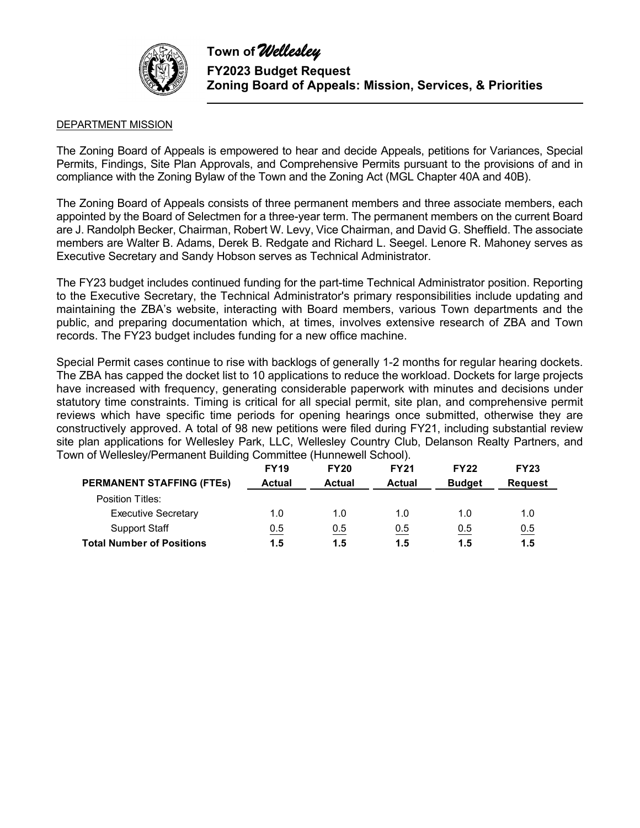

### DEPARTMENT MISSION

The Zoning Board of Appeals is empowered to hear and decide Appeals, petitions for Variances, Special Permits, Findings, Site Plan Approvals, and Comprehensive Permits pursuant to the provisions of and in compliance with the Zoning Bylaw of the Town and the Zoning Act (MGL Chapter 40A and 40B).

The Zoning Board of Appeals consists of three permanent members and three associate members, each appointed by the Board of Selectmen for a three-year term. The permanent members on the current Board are J. Randolph Becker, Chairman, Robert W. Levy, Vice Chairman, and David G. Sheffield. The associate members are Walter B. Adams, Derek B. Redgate and Richard L. Seegel. Lenore R. Mahoney serves as Executive Secretary and Sandy Hobson serves as Technical Administrator.

The FY23 budget includes continued funding for the part-time Technical Administrator position. Reporting to the Executive Secretary, the Technical Administrator's primary responsibilities include updating and maintaining the ZBA's website, interacting with Board members, various Town departments and the public, and preparing documentation which, at times, involves extensive research of ZBA and Town records. The FY23 budget includes funding for a new office machine.

Special Permit cases continue to rise with backlogs of generally 1-2 months for regular hearing dockets. The ZBA has capped the docket list to 10 applications to reduce the workload. Dockets for large projects have increased with frequency, generating considerable paperwork with minutes and decisions under statutory time constraints. Timing is critical for all special permit, site plan, and comprehensive permit reviews which have specific time periods for opening hearings once submitted, otherwise they are constructively approved. A total of 98 new petitions were filed during FY21, including substantial review site plan applications for Wellesley Park, LLC, Wellesley Country Club, Delanson Realty Partners, and Town of Wellesley/Permanent Building Committee (Hunnewell School).

|                                  | <b>FY19</b>   | <b>FY20</b>   | <b>FY21</b>   | <b>FY22</b>   | <b>FY23</b>    |
|----------------------------------|---------------|---------------|---------------|---------------|----------------|
| <b>PERMANENT STAFFING (FTES)</b> | <b>Actual</b> | <b>Actual</b> | <b>Actual</b> | <b>Budget</b> | <b>Request</b> |
| Position Titles:                 |               |               |               |               |                |
| <b>Executive Secretary</b>       | 1.0           | 1.0           | 1.0           | 1.0           | 1.0            |
| <b>Support Staff</b>             | 0.5           | 0.5           | 0.5           | 0.5           | 0.5            |
| <b>Total Number of Positions</b> | 1.5           | 1.5           | 1.5           | 1.5           | 1.5            |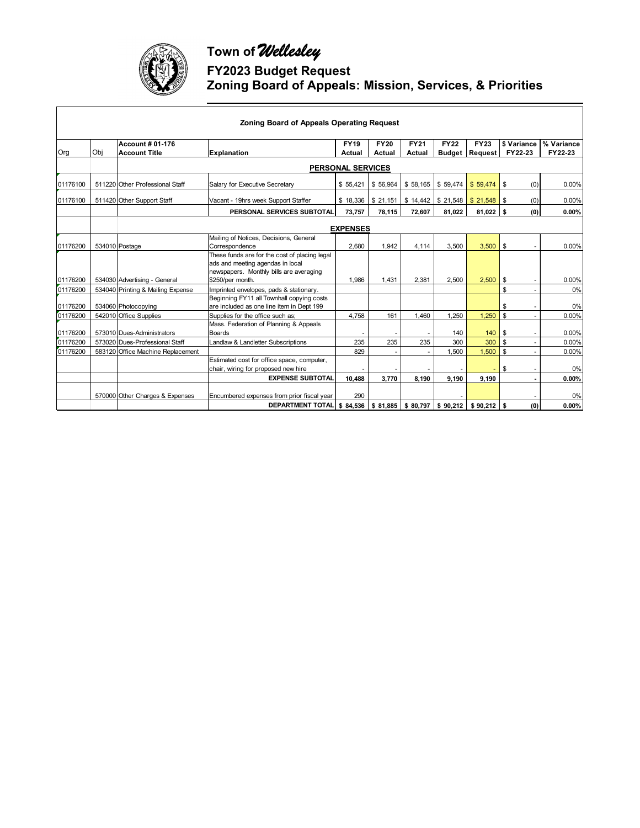

 $\overline{\phantom{a}}$ 

## **Town of** *Wellesley* **FY2023 Budget Request Zoning Board of Appeals: Mission, Services, & Priorities**

|          |                            |                                                 | <b>Zoning Board of Appeals Operating Request</b>                                                                             |                          |                       |                       |                              |                               |                        |                       |
|----------|----------------------------|-------------------------------------------------|------------------------------------------------------------------------------------------------------------------------------|--------------------------|-----------------------|-----------------------|------------------------------|-------------------------------|------------------------|-----------------------|
| Org      | Obi                        | <b>Account # 01-176</b><br><b>Account Title</b> | Explanation                                                                                                                  | <b>FY19</b><br>Actual    | <b>FY20</b><br>Actual | <b>FY21</b><br>Actual | <b>FY22</b><br><b>Budget</b> | <b>FY23</b><br><b>Request</b> | \$ Variance<br>FY22-23 | % Variance<br>FY22-23 |
|          |                            |                                                 |                                                                                                                              | <b>PERSONAL SERVICES</b> |                       |                       |                              |                               |                        |                       |
| 01176100 |                            | 511220 Other Professional Staff                 | Salary for Executive Secretary                                                                                               | \$55,421                 | \$56,964              | \$58,165              | \$59,474                     | \$59,474                      | l s<br>(0)             | 0.00%                 |
| 01176100 |                            | 511420 Other Support Staff                      | Vacant - 19hrs week Support Staffer                                                                                          | \$18,336                 | \$21,151              | \$14,442              | \$21,548                     |                               | (0)                    | 0.00%                 |
|          | PERSONAL SERVICES SUBTOTAL |                                                 | 73,757                                                                                                                       | 78,115                   | 72,607                | 81,022                | 81,022                       | (0)<br>l s                    | 0.00%                  |                       |
|          |                            |                                                 |                                                                                                                              | <b>EXPENSES</b>          |                       |                       |                              |                               |                        |                       |
| 01176200 |                            | 534010 Postage                                  | Mailing of Notices, Decisions, General<br>Correspondence                                                                     | 2.680                    | 1.942                 | 4.114                 | 3.500                        | 3.500                         | \$                     | 0.00%                 |
|          |                            |                                                 | These funds are for the cost of placing legal<br>ads and meeting agendas in local<br>newspapers. Monthly bills are averaging |                          |                       |                       |                              |                               |                        |                       |
| 01176200 |                            | 534030 Advertising - General                    | \$250/per month.                                                                                                             | 1,986                    | 1.431                 | 2.381                 | 2,500                        | 2,500                         | - \$                   | 0.00%                 |
| 01176200 |                            | 534040 Printing & Mailing Expense               | Imprinted envelopes, pads & stationary.                                                                                      |                          |                       |                       |                              |                               | \$                     | 0%                    |
| 01176200 |                            | 534060 Photocopying                             | Beginning FY11 all Townhall copying costs<br>are included as one line item in Dept 199                                       |                          |                       |                       |                              |                               | \$                     | 0%                    |
| 01176200 |                            | 542010 Office Supplies                          | Supplies for the office such as;                                                                                             | 4.758                    | 161                   | 1.460                 | 1.250                        | 1,250                         | \$                     | 0.00%                 |
| 01176200 |                            | 573010 Dues-Administrators                      | Mass. Federation of Planning & Appeals<br><b>Boards</b>                                                                      |                          |                       |                       | 140                          | 140                           | -\$                    | 0.00%                 |
| 01176200 |                            | 573020 Dues-Professional Staff                  | Landlaw & Landletter Subscriptions                                                                                           | 235                      | 235                   | 235                   | 300                          | 300                           | $\mathbf{s}$           | 0.00%                 |
| 01176200 |                            | 583120 Office Machine Replacement               |                                                                                                                              | 829                      |                       |                       | 1.500                        | 1,500                         | $\mathbf{s}$           | 0.00%                 |
|          |                            |                                                 | Estimated cost for office space, computer,<br>chair, wiring for proposed new hire                                            |                          |                       |                       |                              |                               | \$                     | 0%                    |
|          |                            |                                                 | <b>EXPENSE SUBTOTAL</b>                                                                                                      | 10.488                   | 3.770                 | 8.190                 | 9,190                        | 9.190                         |                        | 0.00%                 |
|          |                            | 570000 Other Charges & Expenses                 | Encumbered expenses from prior fiscal year                                                                                   | 290                      |                       |                       |                              |                               |                        | 0%                    |
|          |                            |                                                 | <b>DEPARTMENT TOTAL</b>                                                                                                      | \$84,536                 |                       | $$81,885$ $$80,797$   | \$90,212                     | $$90,212$ \$                  | (0)                    | 0.00%                 |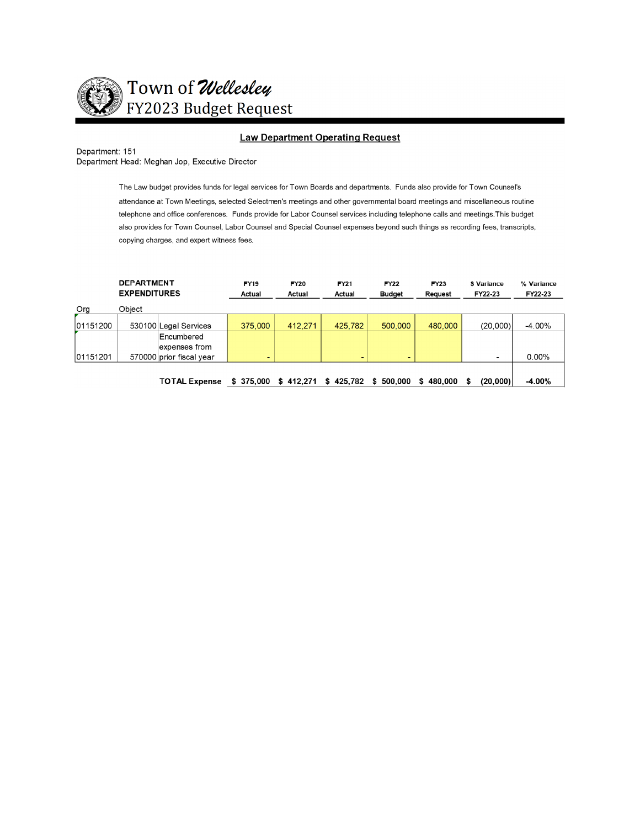

#### **Law Department Operating Request**

Department: 151 Department Head: Meghan Jop, Executive Director

The Law budget provides funds for legal services for Town Boards and departments. Funds also provide for Town Counsel's

attendance at Town Meetings, selected Selectmen's meetings and other governmental board meetings and miscellaneous routine telephone and office conferences. Funds provide for Labor Counsel services including telephone calls and meetings. This budget also provides for Town Counsel, Labor Counsel and Special Counsel expenses beyond such things as recording fees, transcripts, copying charges, and expert witness fees.

|          | <b>DEPARTMENT</b><br><b>EXPENDITURES</b> |                          | <b>FY19</b><br>Actual | <b>FY20</b><br>Actual | <b>FY21</b><br><b>FY22</b><br><b>Budget</b><br>Actual |               | <b>FY23</b><br>Request | \$ Variance<br>FY22-23 | % Variance<br>FY22-23 |
|----------|------------------------------------------|--------------------------|-----------------------|-----------------------|-------------------------------------------------------|---------------|------------------------|------------------------|-----------------------|
| Org      | Object                                   |                          |                       |                       |                                                       |               |                        |                        |                       |
| 01151200 |                                          | 530100 Legal Services    | 375,000               | 412,271               | 425,782                                               | 500,000       | 480,000                | (20,000)               | $-4.00\%$             |
|          |                                          | Encumbered               |                       |                       |                                                       |               |                        |                        |                       |
|          |                                          | expenses from            |                       |                       |                                                       |               |                        |                        |                       |
| 01151201 |                                          | 570000 prior fiscal year |                       |                       | ۰                                                     | -             |                        |                        | $0.00\%$              |
|          |                                          |                          |                       |                       |                                                       |               |                        |                        |                       |
|          |                                          | <b>TOTAL Expense</b>     | \$375.000             | 412.271<br>S.         | \$425.782                                             | 500.000<br>s. | \$480.000              | (20,000)<br>S          | $-4.00%$              |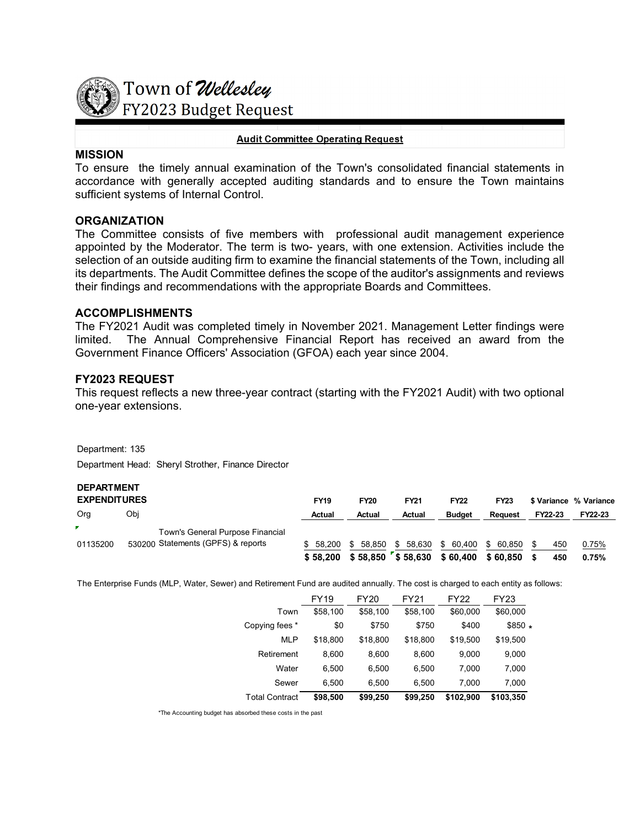

# Town of Wellesley **FY2023 Budget Request**

#### **Audit Committee Operating Request**

### **MISSION**

To ensure the timely annual examination of the Town's consolidated financial statements in accordance with generally accepted auditing standards and to ensure the Town maintains sufficient systems of Internal Control.

## **ORGANIZATION**

The Committee consists of five members with professional audit management experience appointed by the Moderator. The term is two- years, with one extension. Activities include the selection of an outside auditing firm to examine the financial statements of the Town, including all its departments. The Audit Committee defines the scope of the auditor's assignments and reviews their findings and recommendations with the appropriate Boards and Committees.

#### **ACCOMPLISHMENTS**

The FY2021 Audit was completed timely in November 2021. Management Letter findings were limited. The Annual Comprehensive Financial Report has received an award from the Government Finance Officers' Association (GFOA) each year since 2004.

## **FY2023 REQUEST**

This request reflects a new three-year contract (starting with the FY2021 Audit) with two optional one-year extensions.

Department: 135

Department Head: Sheryl Strother, Finance Director

## **DEPARTMENT**

| <b>EXPENDITURES</b> |                                    | <b>FY19</b> | <b>FY20</b>                             | <b>FY21</b> | <b>FY22</b>                | <b>FY23</b> |         | \$ Variance % Variance |
|---------------------|------------------------------------|-------------|-----------------------------------------|-------------|----------------------------|-------------|---------|------------------------|
| Org                 | Obi                                | Actual      | Actual                                  | Actual      | <b>Budget</b>              | Reauest     | FY22-23 | FY22-23                |
|                     | Town's General Purpose Financial   |             |                                         |             |                            |             |         |                        |
| 01135200            | 530200 Statements (GPFS) & reports | \$58.200    | 58.850                                  |             | \$58.630 \$60.400 \$60.850 |             | 450     | 0.75%                  |
|                     |                                    | \$58,200    | $$58,850$ $$58,630$ $$60,400$ $$60,850$ |             |                            |             | 450     | 0.75%                  |

The Enterprise Funds (MLP, Water, Sewer) and Retirement Fund are audited annually. The cost is charged to each entity as follows:

|                       | FY19     | FY20     | FY21     | <b>FY22</b> | <b>FY23</b> |
|-----------------------|----------|----------|----------|-------------|-------------|
| Town                  | \$58,100 | \$58,100 | \$58,100 | \$60,000    | \$60,000    |
| Copying fees *        | \$0      | \$750    | \$750    | \$400       | $$850*$     |
| <b>MLP</b>            | \$18,800 | \$18,800 | \$18,800 | \$19,500    | \$19,500    |
| Retirement            | 8,600    | 8,600    | 8,600    | 9,000       | 9,000       |
| Water                 | 6,500    | 6.500    | 6,500    | 7,000       | 7,000       |
| Sewer                 | 6.500    | 6.500    | 6.500    | 7.000       | 7,000       |
| <b>Total Contract</b> | \$98,500 | \$99,250 | \$99,250 | \$102,900   | \$103,350   |

\*The Accounting budget has absorbed these costs in the past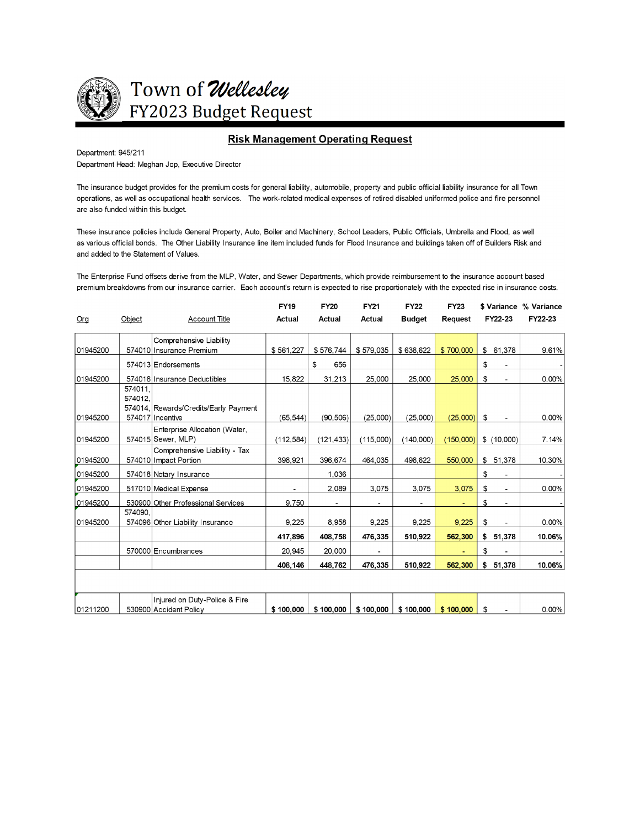

Town of Wellesley FY2023 Budget Request

#### **Risk Management Operating Request**

Department: 945/211

Department Head: Meghan Jop, Executive Director

The insurance budget provides for the premium costs for general liability, automobile, property and public official liability insurance for all Town operations, as well as occupational health services. The work-related medical expenses of retired disabled uniformed police and fire personnel are also funded within this budget.

These insurance policies include General Property, Auto, Boiler and Machinery, School Leaders, Public Officials, Umbrella and Flood, as well as various official bonds. The Other Liability Insurance line item included funds for Flood Insurance and buildings taken off of Builders Risk and and added to the Statement of Values.

The Enterprise Fund offsets derive from the MLP, Water, and Sewer Departments, which provide reimbursement to the insurance account based premium breakdowns from our insurance carrier. Each account's return is expected to rise proportionately with the expected rise in insurance costs.

|                 |                    |                                                        | <b>FY19</b>   | <b>FY20</b>   | <b>FY21</b>              | <b>FY22</b>   | <b>FY23</b>    |                      | \$ Variance % Variance |
|-----------------|--------------------|--------------------------------------------------------|---------------|---------------|--------------------------|---------------|----------------|----------------------|------------------------|
| O <sub>rg</sub> | Object             | <b>Account Title</b>                                   | <b>Actual</b> | <b>Actual</b> | <b>Actual</b>            | <b>Budget</b> | <b>Request</b> | FY22-23              | FY22-23                |
|                 |                    | Comprehensive Liability                                |               |               |                          |               |                |                      |                        |
| 01945200        |                    | 574010 Insurance Premium                               | \$561,227     | \$576,744     | \$579,035                | \$638,622     | \$700,000      | \$61,378             | 9.61%                  |
|                 |                    | 574013 Endorsements                                    |               | \$<br>656     |                          |               |                | \$                   |                        |
| 01945200        |                    | 574016 Insurance Deductibles                           | 15,822        | 31,213        | 25,000                   | 25,000        | 25,000         | \$<br>$\blacksquare$ | 0.00%                  |
|                 | 574011.<br>574012. | 574014, Rewards/Credits/Early Payment                  |               |               |                          |               |                |                      |                        |
| 01945200        |                    | 574017 Incentive                                       | (65, 544)     | (90, 506)     | (25,000)                 | (25,000)      | (25,000)       | \$                   | 0.00%                  |
| 01945200        |                    | Enterprise Allocation (Water,<br>574015 Sewer, MLP)    | (112, 584)    | (121, 433)    | (115,000)                | (140,000)     | (150,000)      | \$(10,000)           | 7.14%                  |
| 01945200        |                    | Comprehensive Liability - Tax<br>574010 Impact Portion | 398,921       | 396,674       | 464.035                  | 498.622       | 550,000        | \$51,378             | 10.30%                 |
| 01945200        |                    | 574018 Notary Insurance                                |               | 1,036         |                          |               |                | \$                   |                        |
| 01945200        |                    | 517010 Medical Expense                                 |               | 2,089         | 3,075                    | 3,075         | 3,075          | \$                   | 0.00%                  |
| 01945200        |                    | 530900 Other Professional Services                     | 9,750         |               |                          |               |                | \$                   |                        |
| 01945200        | 574090.            | 574096 Other Liability Insurance                       | 9,225         | 8,958         | 9,225                    | 9,225         | 9,225          | \$                   | $0.00\%$               |
|                 |                    |                                                        | 417,896       | 408,758       | 476,335                  | 510,922       | 562,300        | \$51,378             | 10.06%                 |
|                 |                    | 570000 Encumbrances                                    | 20,945        | 20,000        | $\overline{\phantom{a}}$ |               |                | \$                   |                        |
|                 |                    |                                                        | 408,146       | 448,762       | 476,335                  | 510,922       | 562,300        | \$51,378             | 10.06%                 |
|                 |                    |                                                        |               |               |                          |               |                |                      |                        |
|                 |                    | Injured on Duty-Police & Fire                          |               |               |                          |               |                |                      |                        |
| 01211200        |                    | 530900 Accident Policy                                 | \$100,000     | \$100,000     | \$100,000                | \$100,000     | \$100.000      | \$                   | $0.00\%$               |